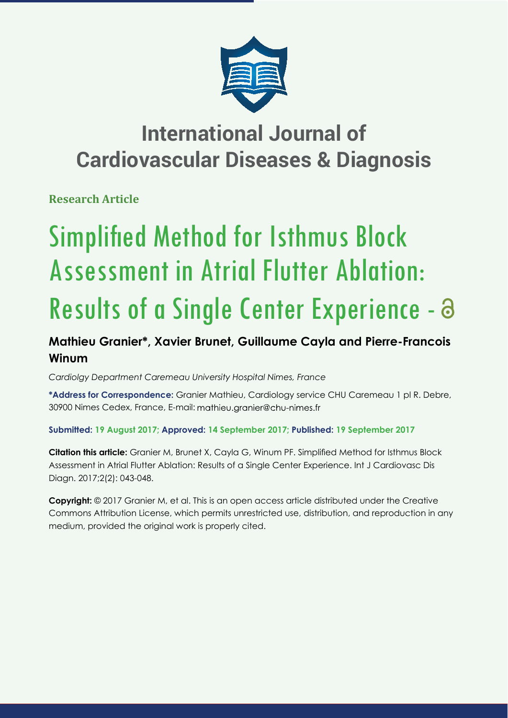

## **International Journal of Cardiovascular Diseases & Diagnosis**

**Research Article**

# Simplified Method for Isthmus Block Assessment in Atrial Flutter Ablation: Results of a Single Center Experience - a

## **Mathieu Granier\*, Xavier Brunet, Guillaume Cayla and Pierre-Francois Winum**

*Cardiolgy Department Caremeau University Hospital Nimes, France*

**\*Address for Correspondence:** Granier Mathieu, Cardiology service CHU Caremeau 1 pl R. Debre, 30900 Nimes Cedex, France, E-mail: mathieu.granier@chu-nimes.fr

### **Submitted: 19 August 2017; Approved: 14 September 2017; Published: 19 September 2017**

**Citation this article:** Granier M, Brunet X, Cayla G, Winum PF. Simplified Method for Isthmus Block Assessment in Atrial Flutter Ablation: Results of a Single Center Experience. Int J Cardiovasc Dis Diagn. 2017;2(2): 043-048.

**Copyright:** © 2017 Granier M, et al. This is an open access article distributed under the Creative Commons Attribution License, which permits unrestricted use, distribution, and reproduction in any medium, provided the original work is properly cited.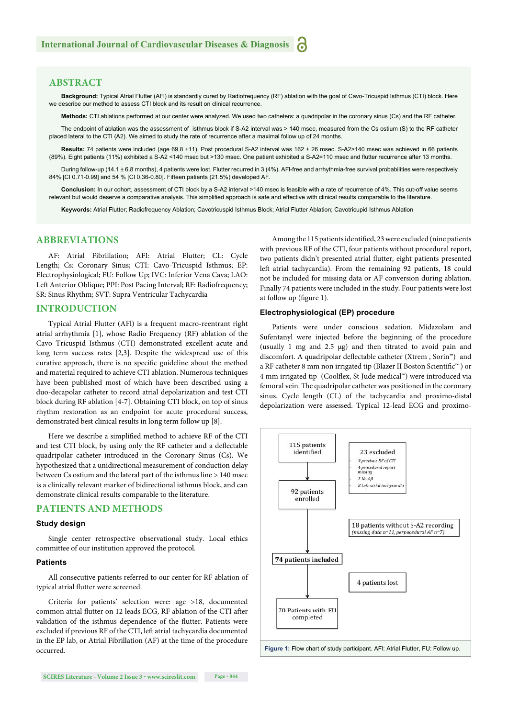#### **ABSTRACT**

**Background:** Typical Atrial Flutter (AFl) is standardly cured by Radiofrequency (RF) ablation with the goal of Cavo-Tricuspid Isthmus (CTI) block. Here we describe our method to assess CTI block and its result on clinical recurrence

**Methods:** CTI ablations performed at our center were analyzed. We used two catheters: a quadripolar in the coronary sinus (Cs) and the RF catheter.

The endpoint of ablation was the assessment of isthmus block if S-A2 interval was > 140 msec, measured from the Cs ostium (S) to the RF catheter placed lateral to the CTI (A2). We aimed to study the rate of recurrence after a maximal follow up of 24 months.

**Results:** 74 patients were included (age 69.8 ±11). Post procedural S-A2 interval was 162 ± 26 msec. S-A2>140 msec was achieved in 66 patients (89%). Eight patients (11%) exhibited a S-A2 <140 msec but >130 msec. One patient exhibited a S-A2=110 msec and flutter recurrence after 13 months.

During follow-up (14.1 ± 6.8 months), 4 patients were lost. Flutter recurred in 3 (4%). AFI-free and arrhythmia-free survival probabilities were respectively 84% [CI 0.71-0.99] and 54 % [CI 0.36-0.80]. Fifteen patients (21.5%) developed AF.

**Conclusion:** In our cohort, assessment of CTI block by a S-A2 interval >140 msec is feasible with a rate of recurrence of 4%. This cut-off value seems relevant but would deserve a comparative analysis. This simplified approach is safe and effective with clinical results comparable to the literature.

**Keywords:** Atrial Flutter; Radiofrequency Ablation; Cavotricuspid Isthmus Block; Atrial Flutter Ablation; Cavotricupid Isthmus Ablation

#### **ABBREVIATIONS**

AF: Atrial Fibrillation; AFI: Atrial Flutter; CL: Cycle Length; Cs: Coronary Sinus; CTI: Cavo-Tricuspid Isthmus; EP: Electrophysiological; FU: Follow Up; IVC: Inferior Vena Cava; LAO: Left Anterior Oblique; PPI: Post Pacing Interval; RF: Radiofrequency; SR: Sinus Rhythm; SVT: Supra Ventricular Tachycardia

#### **INTRODUCTION**

Typical Atrial Flutter (AFl) is a frequent macro-reentrant right atrial arrhythmia [1], whose Radio Frequency (RF) ablation of the Cavo Tricuspid Isthmus (CTI) demonstrated excellent acute and long term success rates [2,3]. Despite the widespread use of this curative approach, there is no specific guideline about the method and material required to achieve CTI ablation. Numerous techniques have been published most of which have been described using a duo-decapolar catheter to record atrial depolarization and test CTI block during RF ablation [4-7]. Obtaining CTI block, on top of sinus rhythm restoration as an endpoint for acute procedural success, demonstrated best clinical results in long term follow up [8].

Here we describe a simplified method to achieve RF of the CTI and test CTI block, by using only the RF catheter and a deflectable quadripolar catheter introduced in the Coronary Sinus (Cs). We hypothesized that a unidirectional measurement of conduction delay between Cs ostium and the lateral part of the isthmus line > 140 msec is a clinically relevant marker of bidirectional isthmus block, and can demonstrate clinical results comparable to the literature.

#### **PATIENTS AND METHODS**

#### **Study design**

Single center retrospective observational study. Local ethics committee of our institution approved the protocol.

#### **Patients**

All consecutive patients referred to our center for RF ablation of typical atrial flutter were screened.

Criteria for patients' selection were: age >18, documented common atrial flutter on 12 leads ECG, RF ablation of the CTI after validation of the isthmus dependence of the flutter. Patients were excluded if previous RF of the CTI, left atrial tachycardia documented in the EP lab, or Atrial Fibrillation (AF) at the time of the procedure occurred.

Among the 115 patients identified, 23 were excluded (nine patients with previous RF of the CTI, four patients without procedural report, two patients didn't presented atrial flutter, eight patients presented left atrial tachycardia). From the remaining 92 patients, 18 could not be included for missing data or AF conversion during ablation. Finally 74 patients were included in the study. Four patients were lost at follow up (figure 1).

#### **Electrophysiological (EP) procedure**

Patients were under conscious sedation. Midazolam and Sufentanyl were injected before the beginning of the procedure (usually 1 mg and 2.5 μg) and then titrated to avoid pain and discomfort. A quadripolar deflectable catheter (Xtrem, Sorin™) and a RF catheter 8 mm non irrigated tip (Blazer II Boston Scientific<sup>™</sup>) or 4 mm irrigated tip (Coolflex, St Jude medical<sup>™</sup>) were introduced via femoral vein. The quadripolar catheter was positioned in the coronary sinus. Cycle length (CL) of the tachycardia and proximo-distal depolarization were assessed. Typical 12-lead ECG and proximo-

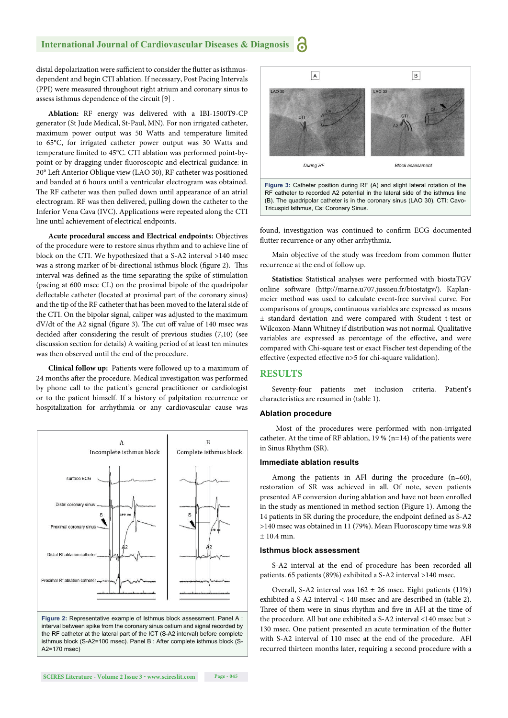#### **International Journal of Cardiovascular Diseases & Diagnosis**

distal depolarization were sufficient to consider the flutter as isthmusdependent and begin CTI ablation. If necessary, Post Pacing Intervals (PPI) were measured throughout right atrium and coronary sinus to assess isthmus dependence of the circuit [9] .

**Ablation:** RF energy was delivered with a IBI-1500T9-CP generator (St Jude Medical, St-Paul, MN). For non irrigated catheter, maximum power output was 50 Watts and temperature limited to 65°C, for irrigated catheter power output was 30 Watts and temperature limited to 45°C. CTI ablation was performed point-bypoint or by dragging under fluoroscopic and electrical guidance: in 30° Left Anterior Oblique view (LAO 30), RF catheter was positioned and banded at 6 hours until a ventricular electrogram was obtained. The RF catheter was then pulled down until appearance of an atrial electrogram. RF was then delivered, pulling down the catheter to the Inferior Vena Cava (IVC). Applications were repeated along the CTI line until achievement of electrical endpoints.

**Acute procedural success and Electrical endpoints:** Objectives of the procedure were to restore sinus rhythm and to achieve line of block on the CTI. We hypothesized that a S-A2 interval >140 msec was a strong marker of bi-directional isthmus block (figure 2). This interval was defined as the time separating the spike of stimulation (pacing at 600 msec CL) on the proximal bipole of the quadripolar deflectable catheter (located at proximal part of the coronary sinus) and the tip of the RF catheter that has been moved to the lateral side of the CTI. On the bipolar signal, caliper was adjusted to the maximum dV/dt of the A2 signal (figure 3). The cut off value of 140 msec was decided after considering the result of previous studies  $(7,10)$  (see discussion section for details) A waiting period of at least ten minutes was then observed until the end of the procedure.

**Clinical follow up:** Patients were followed up to a maximum of 24 months after the procedure. Medical investigation was performed by phone call to the patient's general practitioner or cardiologist or to the patient himself. If a history of palpitation recurrence or hospitalization for arrhythmia or any cardiovascular cause was



**Figure 2:** Representative example of Isthmus block assessment. Panel A : interval between spike from the coronary sinus ostium and signal recorded by the RF catheter at the lateral part of the ICT (S-A2 interval) before complete isthmus block (S-A2=100 msec). Panel B : After complete isthmus block (S-A2=170 msec)



found, investigation was continued to confirm ECG documented flutter recurrence or any other arrhythmia.

Main objective of the study was freedom from common flutter recurrence at the end of follow up.

**Statistics:** Statistical analyses were performed with biostaTGV online software (http://marne.u707.jussieu.fr/biostatgv/). Kaplanmeier method was used to calculate event-free survival curve. For comparisons of groups, continuous variables are expressed as means ± standard deviation and were compared with Student t-test or Wilcoxon-Mann Whitney if distribution was not normal. Qualitative variables are expressed as percentage of the effective, and were compared with Chi-square test or exact Fischer test depending of the effective (expected effective n>5 for chi-square validation).

#### **RESULTS**

Seventy-four patients met inclusion criteria. Patient's characteristics are resumed in (table 1).

#### **Ablation procedure**

 Most of the procedures were performed with non-irrigated catheter. At the time of RF ablation,  $19\%$  (n=14) of the patients were in Sinus Rhythm (SR).

#### **Immediate ablation results**

Among the patients in AFl during the procedure (n=60), restoration of SR was achieved in all. Of note, seven patients presented AF conversion during ablation and have not been enrolled in the study as mentioned in method section (Figure 1). Among the 14 patients in SR during the procedure, the endpoint defined as S-A2 >140 msec was obtained in 11 (79%). Mean Fluoroscopy time was 9.8  $± 10.4$  min.

#### **Isthmus block assessment**

S-A2 interval at the end of procedure has been recorded all patients. 65 patients (89%) exhibited a S-A2 interval >140 msec.

Overall, S-A2 interval was  $162 \pm 26$  msec. Eight patients (11%) exhibited a S-A2 interval < 140 msec and are described in (table 2). Three of them were in sinus rhythm and five in AFl at the time of the procedure. All but one exhibited a S-A2 interval <140 msec but > 130 msec. One patient presented an acute termination of the flutter with S-A2 interval of 110 msec at the end of the procedure. AFl recurred thirteen months later, requiring a second procedure with a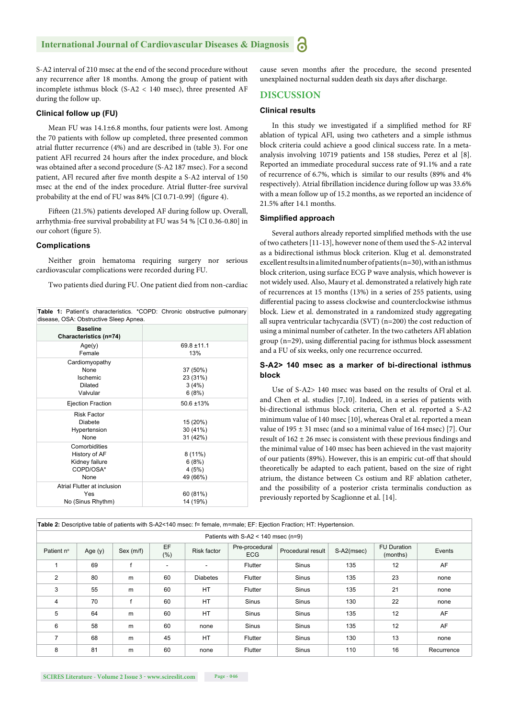#### **International Journal of Cardiovascular Diseases & Diagnosis**

S-A2 interval of 210 msec at the end of the second procedure without any recurrence after 18 months. Among the group of patient with incomplete isthmus block (S-A2 < 140 msec), three presented AF during the follow up.

#### **Clinical follow up (FU)**

Mean FU was 14.1±6.8 months, four patients were lost. Among the 70 patients with follow up completed, three presented common atrial flutter recurrence (4%) and are described in (table 3). For one patient AFl recurred 24 hours after the index procedure, and block was obtained after a second procedure (S-A2 187 msec). For a second patient, AFl recured after five month despite a S-A2 interval of 150 msec at the end of the index procedure. Atrial flutter-free survival probability at the end of FU was 84% [CI 0.71-0.99] (figure 4).

Fifteen (21.5%) patients developed AF during follow up. Overall, arrhythmia-free survival probability at FU was 54 % [CI 0.36-0.80] in our cohort (figure 5).

#### **Complications**

Neither groin hematoma requiring surgery nor serious cardiovascular complications were recorded during FU.

Two patients died during FU. One patient died from non-cardiac

| disease, OSA: Obstructive Sleep Apnea.                                |                                         |
|-----------------------------------------------------------------------|-----------------------------------------|
| <b>Baseline</b><br>Characteristics (n=74)                             |                                         |
| Age(y)<br>Female                                                      | $69.8 + 11.1$<br>13%                    |
| Cardiomyopathy<br>None<br><b>Ischemic</b><br>Dilated<br>Valvular      | 37 (50%)<br>23 (31%)<br>3(4%)<br>6(8%)  |
| <b>Ejection Fraction</b>                                              | 50.6 ±13%                               |
| <b>Risk Factor</b><br>Diabete<br>Hypertension<br>None                 | 15 (20%)<br>30 (41%)<br>31 (42%)        |
| Comorbidities<br>History of AF<br>Kidney failure<br>COPD/OSA*<br>None | $8(11\%)$<br>6(8%)<br>4(5%)<br>49 (66%) |
| Atrial Flutter at inclusion<br>Yes<br>No (Sinus Rhythm)               | 60 (81%)<br>14 (19%)                    |

Table 1: Patient's characteristics. \*COPD: Chronic obstructive pulmonary

cause seven months after the procedure, the second presented unexplained nocturnal sudden death six days after discharge.

#### **DISCUSSION**

#### **Clinical results**

In this study we investigated if a simplified method for RF ablation of typical AFl, using two catheters and a simple isthmus block criteria could achieve a good clinical success rate. In a metaanalysis involving 10719 patients and 158 studies, Perez et al [8]. Reported an immediate procedural success rate of 91.1% and a rate of recurrence of 6.7%, which is similar to our results (89% and 4% respectively). Atrial fibrillation incidence during follow up was 33.6% with a mean follow up of 15.2 months, as we reported an incidence of 21.5% after 14.1 months.

#### **Simplified approach**

Several authors already reported simplified methods with the use of two catheters [11-13], however none of them used the S-A2 interval as a bidirectional isthmus block criterion. Klug et al. demonstrated excellent results in a limited number of patients (n=30), with an isthmus block criterion, using surface ECG P wave analysis, which however is not widely used. Also, Maury et al. demonstrated a relatively high rate of recurrences at 15 months (13%) in a series of 255 patients, using differential pacing to assess clockwise and counterclockwise isthmus block. Liew et al. demonstrated in a randomized study aggregating all supra ventricular tachycardia (SVT) (n=200) the cost reduction of using a minimal number of catheter. In the two catheters AFl ablation group ( $n=29$ ), using differential pacing for isthmus block assessment and a FU of six weeks, only one recurrence occurred.

#### **S-A2> 140 msec as a marker of bi-directional isthmus block**

Use of S-A2> 140 msec was based on the results of Oral et al. and Chen et al. studies [7,10]. Indeed, in a series of patients with bi-directional isthmus block criteria, Chen et al. reported a S-A2 minimum value of 140 msec [10], whereas Oral et al. reported a mean value of  $195 \pm 31$  msec (and so a minimal value of 164 msec) [7]. Our result of  $162 \pm 26$  msec is consistent with these previous findings and the minimal value of 140 msec has been achieved in the vast majority of our patients (89%). However, this is an empiric cut-off that should theoretically be adapted to each patient, based on the size of right atrium, the distance between Cs ostium and RF ablation catheter, and the possibility of a posterior crista terminalis conduction as previously reported by Scaglionne et al. [14].

| Table 2: Descriptive table of patients with S-A2<140 msec: f= female, m=male; EF: Ejection Fraction; HT: Hypertension. |           |           |            |                          |                              |                   |            |                                |            |
|------------------------------------------------------------------------------------------------------------------------|-----------|-----------|------------|--------------------------|------------------------------|-------------------|------------|--------------------------------|------------|
| Patients with $S-A2 < 140$ msec (n=9)                                                                                  |           |           |            |                          |                              |                   |            |                                |            |
| Patient n°                                                                                                             | Age $(y)$ | Sex (m/f) | EF<br>(% ) | <b>Risk factor</b>       | Pre-procedural<br><b>ECG</b> | Procedural result | S-A2(msec) | <b>FU Duration</b><br>(months) | Events     |
|                                                                                                                        | 69        |           | -          | $\overline{\phantom{a}}$ | Flutter                      | <b>Sinus</b>      | 135        | 12                             | AF         |
| 2                                                                                                                      | 80        | m         | 60         | <b>Diabetes</b>          | Flutter                      | Sinus             | 135        | 23                             | none       |
| 3                                                                                                                      | 55        | m         | 60         | <b>HT</b>                | Flutter                      | <b>Sinus</b>      | 135        | 21                             | none       |
| 4                                                                                                                      | 70        | f         | 60         | <b>HT</b>                | <b>Sinus</b>                 | Sinus             | 130        | 22                             | none       |
| 5                                                                                                                      | 64        | m         | 60         | <b>HT</b>                | <b>Sinus</b>                 | <b>Sinus</b>      | 135        | 12                             | AF         |
| 6                                                                                                                      | 58        | m         | 60         | none                     | <b>Sinus</b>                 | <b>Sinus</b>      | 135        | 12                             | AF         |
| 7                                                                                                                      | 68        | m         | 45         | <b>HT</b>                | <b>Flutter</b>               | <b>Sinus</b>      | 130        | 13                             | none       |
| 8                                                                                                                      | 81        | m         | 60         | none                     | Flutter                      | <b>Sinus</b>      | 110        | 16                             | Recurrence |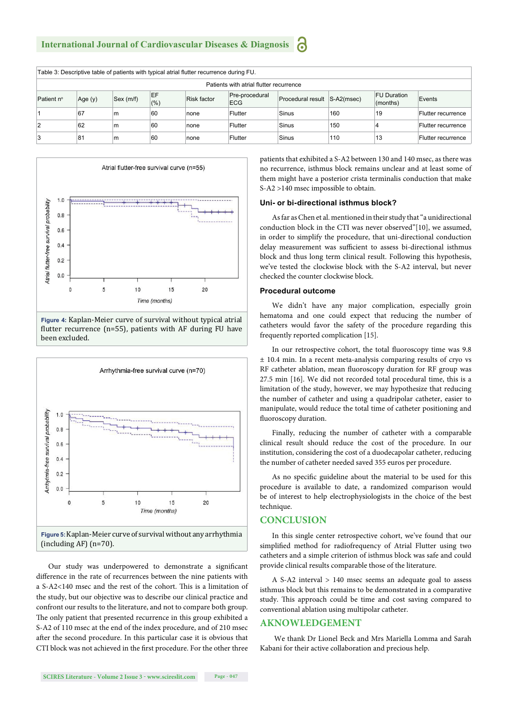| Table 3: Descriptive table of patients with typical atrial flutter recurrence during FU. |         |           |            |                    |                       |                              |     |                                |                    |
|------------------------------------------------------------------------------------------|---------|-----------|------------|--------------------|-----------------------|------------------------------|-----|--------------------------------|--------------------|
| Patients with atrial flutter recurrence                                                  |         |           |            |                    |                       |                              |     |                                |                    |
| Patient n°                                                                               | Age (y) | Sex (m/f) | EF<br>(% ) | <b>Risk factor</b> | Pre-procedural<br>ECG | Procedural result S-A2(msec) |     | <b>FU Duration</b><br>(months) | Events             |
|                                                                                          | 67      | m         | 60         | none               | Flutter               | Sinus                        | 160 | 19                             | Flutter recurrence |
|                                                                                          | 62      | m         | 60         | none               | Flutter               | Sinus                        | 150 |                                | Flutter recurrence |
| З                                                                                        | 81      | m         | 60         | none               | Flutter               | Sinus                        | 110 | 13                             | Flutter recurrence |



**Figure 4:** Kaplan-Meier curve of survival without typical atrial flutter recurrence (n=55), patients with AF during FU have been excluded.



Our study was underpowered to demonstrate a significant difference in the rate of recurrences between the nine patients with a S-A2<140 msec and the rest of the cohort. This is a limitation of the study, but our objective was to describe our clinical practice and confront our results to the literature, and not to compare both group. The only patient that presented recurrence in this group exhibited a S-A2 of 110 msec at the end of the index procedure, and of 210 msec after the second procedure. In this particular case it is obvious that CTI block was not achieved in the first procedure. For the other three patients that exhibited a S-A2 between 130 and 140 msec, as there was no recurrence, isthmus block remains unclear and at least some of them might have a posterior crista terminalis conduction that make S-A2 >140 msec impossible to obtain.

#### **Uni- or bi-directional isthmus block?**

As far as Chen et al. mentioned in their study that "a unidirectional conduction block in the CTI was never observed"[10], we assumed, in order to simplify the procedure, that uni-directional conduction delay measurement was sufficient to assess bi-directional isthmus block and thus long term clinical result. Following this hypothesis, we've tested the clockwise block with the S-A2 interval, but never checked the counter clockwise block.

#### **Procedural outcome**

We didn't have any major complication, especially groin hematoma and one could expect that reducing the number of catheters would favor the safety of the procedure regarding this frequently reported complication [15].

In our retrospective cohort, the total fluoroscopy time was 9.8 ± 10.4 min. In a recent meta-analysis comparing results of cryo vs RF catheter ablation, mean fluoroscopy duration for RF group was 27.5 min [16]. We did not recorded total procedural time, this is a limitation of the study, however, we may hypothesize that reducing the number of catheter and using a quadripolar catheter, easier to manipulate, would reduce the total time of catheter positioning and fluoroscopy duration.

Finally, reducing the number of catheter with a comparable clinical result should reduce the cost of the procedure. In our institution, considering the cost of a duodecapolar catheter, reducing the number of catheter needed saved 355 euros per procedure.

As no specific guideline about the material to be used for this procedure is available to date, a randomized comparison would be of interest to help electrophysiologists in the choice of the best technique.

#### **CONCLUSION**

In this single center retrospective cohort, we've found that our simplified method for radiofrequency of Atrial Flutter using two catheters and a simple criterion of isthmus block was safe and could provide clinical results comparable those of the literature.

A S-A2 interval > 140 msec seems an adequate goal to assess isthmus block but this remains to be demonstrated in a comparative study. This approach could be time and cost saving compared to conventional ablation using multipolar catheter.

#### **AKNOWLEDGEMENT**

We thank Dr Lionel Beck and Mrs Mariella Lomma and Sarah Kabani for their active collaboration and precious help.